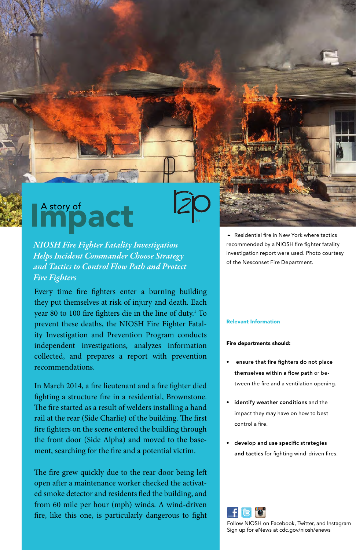## Impact

*NIOSH Fire Fighter Fatality Investigation Helps Incident Commander Choose Strategy and Tactics to Control Flow Path and Protect Fire Fighters* 

Every time fre fghters enter a burning building they put themselves at risk of injury and death. Each year 80 to 100 fire fighters die in the line of duty.<sup>1</sup> To prevent these deaths, the NIOSH Fire Fighter Fatality Investigation and Prevention Program conducts independent investigations, analyzes information collected, and prepares a report with prevention recommendations.

In March 2014, a fre lieutenant and a fre fghter died fghting a structure fre in a residential, Brownstone. The fire started as a result of welders installing a hand rail at the rear (Side Charlie) of the building. The first fre fghters on the scene entered the building through the front door (Side Alpha) and moved to the basement, searching for the fre and a potential victim.

The fire grew quickly due to the rear door being left open after a maintenance worker checked the activated smoke detector and residents fed the building, and from 60 mile per hour (mph) winds. A wind-driven fre, like this one, is particularly dangerous to fght

 Residential fre in New York where tactics recommended by a NIOSH fire fighter fatality investigation report were used. Photo courtesy of the Nesconset Fire Department.

## Relevant Information

## Fire departments should:

- ensure that fire fighters do not place themselves within a flow path or between the fre and a ventilation opening.
- identify weather conditions and the impact they may have on how to best control a fire.
- develop and use specific strategies and tactics for fighting wind-driven fires.



Follow NIOSH on Facebook, Twitter, and Instagram Sign up for eNews at cdc.gov/niosh/enews